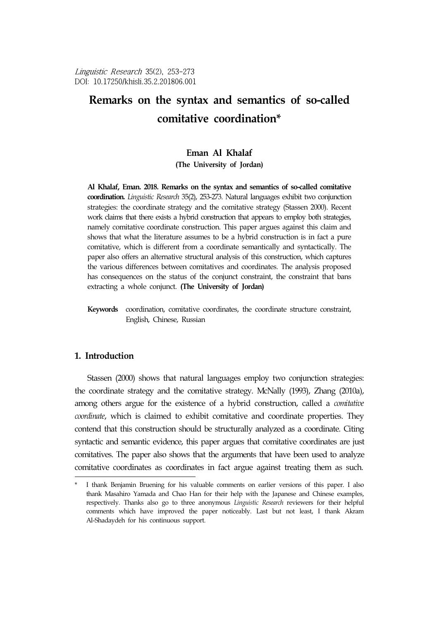Linguistic Research 35(2), 253-273 DOI: 10.17250/khisli.35.2.201806.001

# **Remarks on the syntax and semantics of so-called comitative coordination\***<sup>1</sup>

# **Eman Al Khalaf**

**(The University of Jordan)**

**Al Khalaf, Eman. 2018. Remarks on the syntax and semantics of so-called comitative coordination.** *Linguistic Research* 35(2), 253-273. Natural languages exhibit two conjunction strategies: the coordinate strategy and the comitative strategy (Stassen 2000). Recent work claims that there exists a hybrid construction that appears to employ both strategies, namely comitative coordinate construction. This paper argues against this claim and shows that what the literature assumes to be a hybrid construction is in fact a pure comitative, which is different from a coordinate semantically and syntactically. The paper also offers an alternative structural analysis of this construction, which captures the various differences between comitatives and coordinates. The analysis proposed has consequences on the status of the conjunct constraint, the constraint that bans extracting a whole conjunct. **(The University of Jordan)**

**Keywords** coordination, comitative coordinates, the coordinate structure constraint, English, Chinese, Russian

## **1. Introduction**

Stassen (2000) shows that natural languages employ two conjunction strategies: the coordinate strategy and the comitative strategy. McNally (1993), Zhang (2010a), among others argue for the existence of a hybrid construction, called a *comitative coordinate*, which is claimed to exhibit comitative and coordinate properties. They contend that this construction should be structurally analyzed as a coordinate. Citing syntactic and semantic evidence, this paper argues that comitative coordinates are just comitatives. The paper also shows that the arguments that have been used to analyze comitative coordinates as coordinates in fact argue against treating them as such.

I thank Benjamin Bruening for his valuable comments on earlier versions of this paper. I also thank Masahiro Yamada and Chao Han for their help with the Japanese and Chinese examples, respectively. Thanks also go to three anonymous *Linguistic Research* reviewers for their helpful comments which have improved the paper noticeably. Last but not least, I thank Akram Al-Shadaydeh for his continuous support.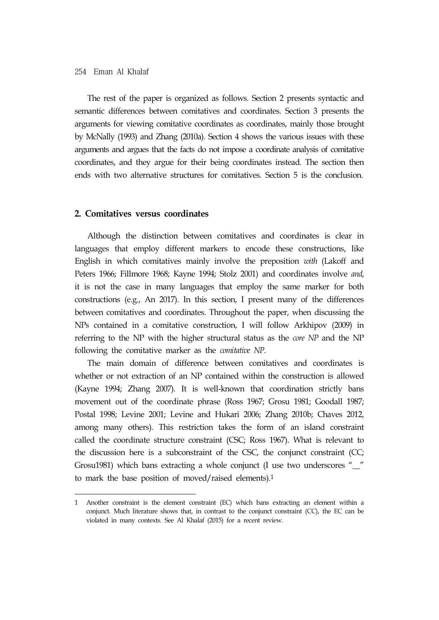#### 254 Eman Al Khalaf

The rest of the paper is organized as follows. Section 2 presents syntactic and semantic differences between comitatives and coordinates. Section 3 presents the arguments for viewing comitative coordinates as coordinates, mainly those brought by McNally (1993) and Zhang (2010a). Section 4 shows the various issues with these arguments and argues that the facts do not impose a coordinate analysis of comitative coordinates, and they argue for their being coordinates instead. The section then ends with two alternative structures for comitatives. Section 5 is the conclusion.

#### **2. Comitatives versus coordinates**

Although the distinction between comitatives and coordinates is clear in languages that employ different markers to encode these constructions, like English in which comitatives mainly involve the preposition *with* (Lakoff and Peters 1966; Fillmore 1968; Kayne 1994; Stolz 2001) and coordinates involve *and*, it is not the case in many languages that employ the same marker for both constructions (e.g., An 2017). In this section, I present many of the differences between comitatives and coordinates. Throughout the paper, when discussing the NPs contained in a comitative construction, I will follow Arkhipov (2009) in referring to the NP with the higher structural status as the *core NP* and the NP following the comitative marker as the *comitative NP*.

The main domain of difference between comitatives and coordinates is whether or not extraction of an NP contained within the construction is allowed (Kayne 1994; Zhang 2007). It is well-known that coordination strictly bans movement out of the coordinate phrase (Ross 1967; Grosu 1981; Goodall 1987; Postal 1998; Levine 2001; Levine and Hukari 2006; Zhang 2010b; Chaves 2012, among many others). This restriction takes the form of an island constraint called the coordinate structure constraint (CSC; Ross 1967). What is relevant to the discussion here is a subconstraint of the CSC, the conjunct constraint (CC; Grosu1981) which bans extracting a whole conjunct (I use two underscores "\_\_" to mark the base position of moved/raised elements).1

<sup>1</sup> Another constraint is the element constraint (EC) which bans extracting an element within a conjunct. Much literature shows that, in contrast to the conjunct constraint (CC), the EC can be violated in many contexts. See Al Khalaf (2015) for a recent review.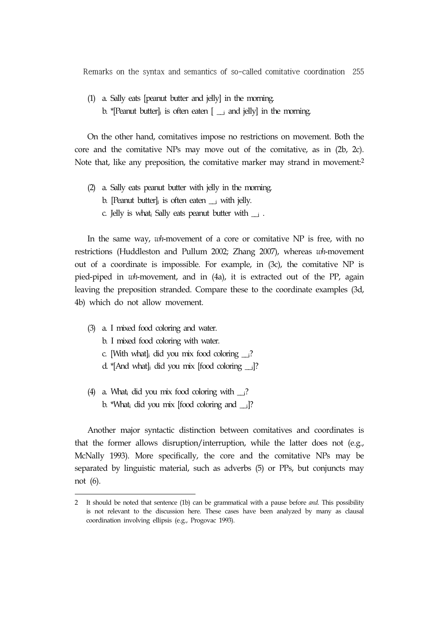(1) a. Sally eats [peanut butter and jelly] in the morning. b. \*[Peanut butter]<sub>i</sub> is often eaten  $[\underline{\ }$  and jelly] in the morning.

On the other hand, comitatives impose no restrictions on movement. Both the core and the comitative NPs may move out of the comitative, as in (2b, 2c). Note that, like any preposition, the comitative marker may strand in movement:2

- (2) a. Sally eats peanut butter with jelly in the morning.
	- b. [Peanut butter] $\alpha$  is often eaten  $\alpha$  with jelly.
	- c. Jelly is what iSally eats peanut butter with  $\Box$ .

In the same way, *wh*-movement of a core or comitative NP is free, with no restrictions (Huddleston and Pullum 2002; Zhang 2007), whereas *wh*-movement out of a coordinate is impossible. For example, in (3c), the comitative NP is pied-piped in *wh*-movement, and in (4a), it is extracted out of the PP, again leaving the preposition stranded. Compare these to the coordinate examples (3d, 4b) which do not allow movement.

- (3) a. I mixed food coloring and water.
	- b. I mixed food coloring with water.
	- c. [With what] did you mix food coloring  $\Box$ ?
	- d. \*[And what]<sub>i</sub> did you mix [food coloring  $\Box$ ]?
- (4) a. What, did you mix food coloring with  $\Box$ ? b. \*What<sub>i</sub> did you mix [food coloring and  $_{ij}$ ]?

Another major syntactic distinction between comitatives and coordinates is that the former allows disruption/interruption, while the latter does not (e.g., McNally 1993). More specifically, the core and the comitative NPs may be separated by linguistic material, such as adverbs (5) or PPs, but conjuncts may not (6).

<sup>2</sup> It should be noted that sentence (1b) can be grammatical with a pause before *and*. This possibility is not relevant to the discussion here. These cases have been analyzed by many as clausal coordination involving ellipsis (e.g., Progovac 1993).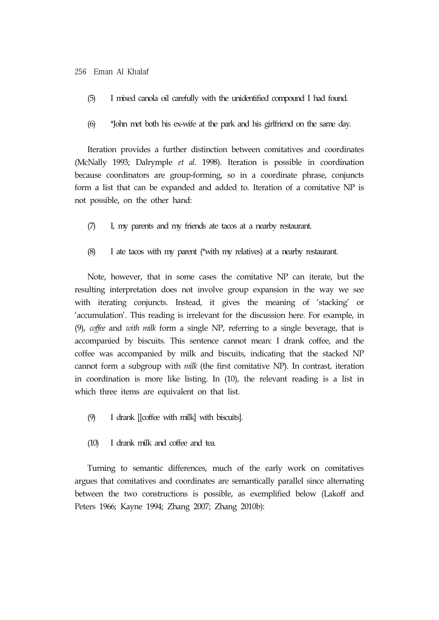#### 256 Eman Al Khalaf

- (5) I mixed canola oil carefully with the unidentified compound I had found.
- (6) \*John met both his ex-wife at the park and his girlfriend on the same day.

Iteration provides a further distinction between comitatives and coordinates (McNally 1993; Dalrymple *et al*. 1998). Iteration is possible in coordination because coordinators are group-forming, so in a coordinate phrase, conjuncts form a list that can be expanded and added to. Iteration of a comitative NP is not possible, on the other hand:

- (7) I, my parents and my friends ate tacos at a nearby restaurant.
- (8) I ate tacos with my parent (\*with my relatives) at a nearby restaurant.

Note, however, that in some cases the comitative NP can iterate, but the resulting interpretation does not involve group expansion in the way we see with iterating conjuncts. Instead, it gives the meaning of 'stacking' or 'accumulation'. This reading is irrelevant for the discussion here. For example, in (9), *coffee* and *with milk* form a single NP, referring to a single beverage, that is accompanied by biscuits. This sentence cannot mean: I drank coffee, and the coffee was accompanied by milk and biscuits, indicating that the stacked NP cannot form a subgroup with *milk* (the first comitative NP). In contrast, iteration in coordination is more like listing. In (10), the relevant reading is a list in which three items are equivalent on that list.

- (9) I drank [[coffee with milk] with biscuits].
- (10) I drank milk and coffee and tea.

Turning to semantic differences, much of the early work on comitatives argues that comitatives and coordinates are semantically parallel since alternating between the two constructions is possible, as exemplified below (Lakoff and Peters 1966; Kayne 1994; Zhang 2007; Zhang 2010b):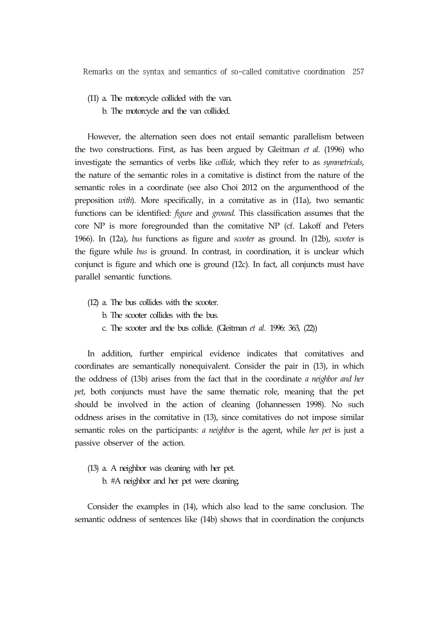- (11) a. The motorcycle collided with the van.
	- b. The motorcycle and the van collided.

However, the alternation seen does not entail semantic parallelism between the two constructions. First, as has been argued by Gleitman *et al*. (1996) who investigate the semantics of verbs like *collide*, which they refer to as *symmetricals*, the nature of the semantic roles in a comitative is distinct from the nature of the semantic roles in a coordinate (see also Choi 2012 on the argumenthood of the preposition *with*). More specifically, in a comitative as in (11a), two semantic functions can be identified: *figure* and *ground*. This classification assumes that the core NP is more foregrounded than the comitative NP (cf. Lakoff and Peters 1966). In (12a), *bus* functions as figure and *scooter* as ground. In (12b), *scooter* is the figure while *bus* is ground. In contrast, in coordination, it is unclear which conjunct is figure and which one is ground (12c). In fact, all conjuncts must have parallel semantic functions.

- (12) a. The bus collides with the scooter.
	- b. The scooter collides with the bus.
	- c. The scooter and the bus collide. (Gleitman *et al.* 1996: 363, (22))

In addition, further empirical evidence indicates that comitatives and coordinates are semantically nonequivalent. Consider the pair in (13), in which the oddness of (13b) arises from the fact that in the coordinate *a neighbor and her pet*, both conjuncts must have the same thematic role, meaning that the pet should be involved in the action of cleaning (Johannessen 1998). No such oddness arises in the comitative in (13), since comitatives do not impose similar semantic roles on the participants: *a neighbor* is the agent, while *her pet* is just a passive observer of the action.

- (13) a. A neighbor was cleaning with her pet.
	- b. #A neighbor and her pet were cleaning.

Consider the examples in (14), which also lead to the same conclusion. The semantic oddness of sentences like (14b) shows that in coordination the conjuncts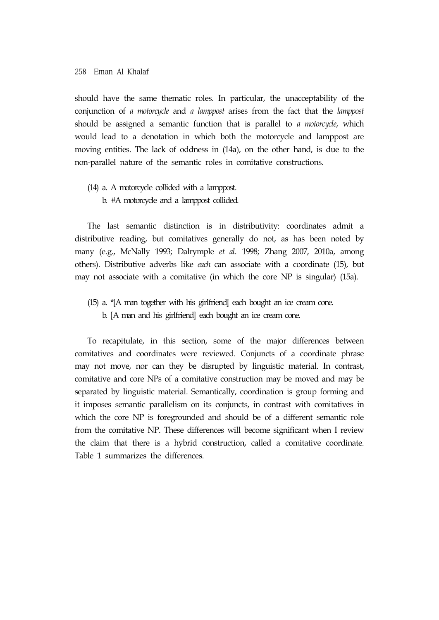should have the same thematic roles. In particular, the unacceptability of the conjunction of *a motorcycle* and *a lamppost* arises from the fact that the *lamppost*  should be assigned a semantic function that is parallel to *a motorcycle*, which would lead to a denotation in which both the motorcycle and lamppost are moving entities. The lack of oddness in (14a), on the other hand, is due to the non-parallel nature of the semantic roles in comitative constructions.

(14) a. A motorcycle collided with a lamppost. b. #A motorcycle and a lamppost collided.

The last semantic distinction is in distributivity: coordinates admit a distributive reading, but comitatives generally do not, as has been noted by many (e.g., McNally 1993; Dalrymple *et al*. 1998; Zhang 2007, 2010a, among others). Distributive adverbs like *each* can associate with a coordinate (15), but may not associate with a comitative (in which the core NP is singular) (15a).

(15) a. \*[A man together with his girlfriend] each bought an ice cream cone. b. [A man and his girlfriend] each bought an ice cream cone.

To recapitulate, in this section, some of the major differences between comitatives and coordinates were reviewed. Conjuncts of a coordinate phrase may not move, nor can they be disrupted by linguistic material. In contrast, comitative and core NPs of a comitative construction may be moved and may be separated by linguistic material. Semantically, coordination is group forming and it imposes semantic parallelism on its conjuncts, in contrast with comitatives in which the core NP is foregrounded and should be of a different semantic role from the comitative NP. These differences will become significant when I review the claim that there is a hybrid construction, called a comitative coordinate. Table 1 summarizes the differences.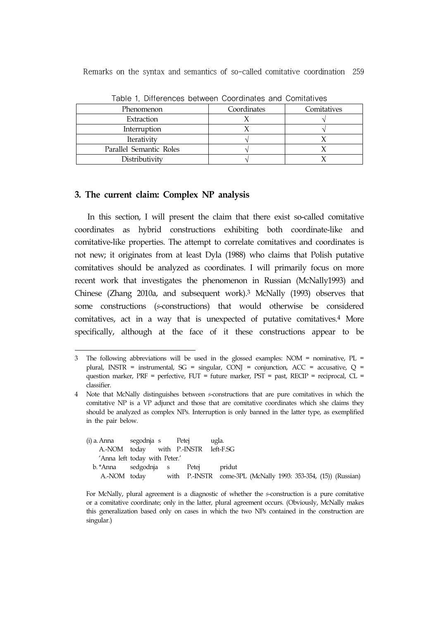| Phenomenon              | Coordinates | Comitatives |  |  |
|-------------------------|-------------|-------------|--|--|
| Extraction              |             |             |  |  |
| Interruption            |             |             |  |  |
| Iterativity             |             |             |  |  |
| Parallel Semantic Roles |             |             |  |  |
| Distributivity          |             |             |  |  |

Table 1. Differences between Coordinates and Comitatives

### **3. The current claim: Complex NP analysis**

In this section, I will present the claim that there exist so-called comitative coordinates as hybrid constructions exhibiting both coordinate-like and comitative-like properties. The attempt to correlate comitatives and coordinates is not new; it originates from at least Dyla (1988) who claims that Polish putative comitatives should be analyzed as coordinates. I will primarily focus on more recent work that investigates the phenomenon in Russian (McNally1993) and Chinese (Zhang 2010a, and subsequent work).3 McNally (1993) observes that some constructions (*s*-constructions) that would otherwise be considered comitatives, act in a way that is unexpected of putative comitatives.4 More specifically, although at the face of it these constructions appear to be

<sup>4</sup> Note that McNally distinguishes between *s*-constructions that are pure comitatives in which the comitative NP is a VP adjunct and those that are comitative coordinates which she claims they should be analyzed as complex NPs. Interruption is only banned in the latter type, as exemplified in the pair below.

| (i) a. Anna segodnja s Petej |                                      |  | ugla.                                                          |  |  |  |
|------------------------------|--------------------------------------|--|----------------------------------------------------------------|--|--|--|
|                              | A.-NOM today with P.-INSTR left-F.SG |  |                                                                |  |  |  |
|                              | 'Anna left today with Peter.'        |  |                                                                |  |  |  |
|                              | b. *Anna sedgodnja s Petej pridut    |  |                                                                |  |  |  |
| A.-NOM today                 |                                      |  | with P.-INSTR come-3PL (McNally 1993: 353-354, (15)) (Russian) |  |  |  |

For McNally, plural agreement is a diagnostic of whether the *s*-construction is a pure comitative or a comitative coordinate; only in the latter, plural agreement occurs. (Obviously, McNally makes this generalization based only on cases in which the two NPs contained in the construction are singular.)

<sup>3</sup> The following abbreviations will be used in the glossed examples: NOM = nominative, PL = plural, INSTR = instrumental,  $SG =$  singular, CONJ = conjunction, ACC = accusative, Q = question marker, PRF = perfective, FUT = future marker, PST = past, RECIP = reciprocal, CL = classifier.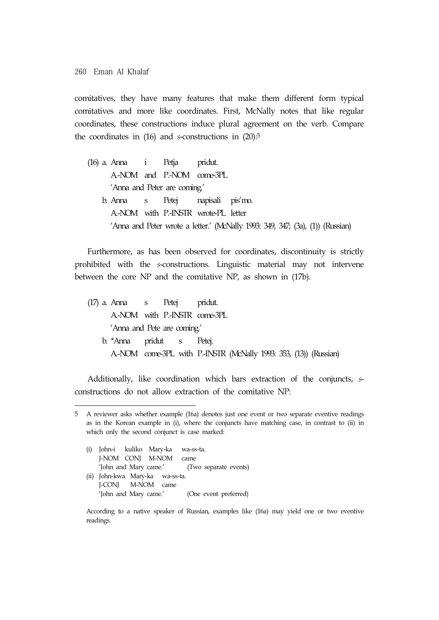comitatives, they have many features that make them different form typical comitatives and more like coordinates. First, McNally notes that like regular coordinates, these constructions induce plural agreement on the verb. Compare the coordinates in (16) and *s*-constructions in (20):5

(16) a. Anna i Petja pridut. A.-NOM and P.-NOM come-3PL 'Anna and Peter are coming.' b. Anna s Petej napisali pis'mo. A.-NOM with P.-INSTR wrote-PL letter 'Anna and Peter wrote a letter.' (McNally 1993: 349, 347; (3a), (1)) (Russian)

Furthermore, as has been observed for coordinates, discontinuity is strictly prohibited with the *s*-constructions. Linguistic material may not intervene between the core NP and the comitative NP, as shown in (17b).

(17) a. Anna s Petej pridut. A.-NOM with P.-INSTR come-3PL 'Anna and Pete are coming.' b. \*Anna pridut s Petej. A.-NOM come-3PL with P.-INSTR (McNally 1993: 353, (13)) (Russian)

Additionally, like coordination which bars extraction of the conjuncts, *s*constructions do not allow extraction of the comitative NP:

(i) John-i kuliko Mary-ka wa-ss-ta. J-NOM CONJ M-NOM came 'John and Mary came.' (Two separate events) (ii) John-kwa Mary-ka wa-ss-ta. J-CONJ M-NOM came 'John and Mary came.' (One event preferred)

<sup>5</sup> A reviewer asks whether example (16a) denotes just one event or two separate eventive readings as in the Korean example in (i), where the conjuncts have matching case, in contrast to (ii) in which only the second conjunct is case marked:

According to a native speaker of Russian, examples like (16a) may yield one or two eventive readings.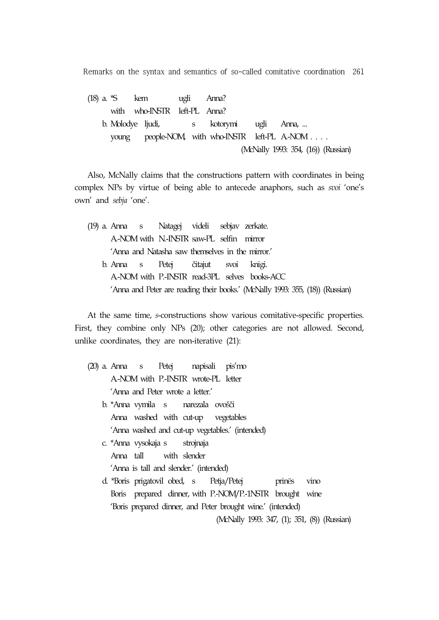(18) a. \*S kem ugli Anna? with who-INSTR left-PL Anna? b. Molodye ljudi, s kotorymi ugli Anna, ... young people-NOM, with who-INSTR left-PL A-NOM . . . . (McNally 1993: 354, (16)) (Russian)

Also, McNally claims that the constructions pattern with coordinates in being complex NPs by virtue of being able to antecede anaphors, such as *svoi* 'one's own' and *sebja* 'one'.

|  |  | (19) a. Anna s Natagej videli sebjav zerkate.    |  |                                                                               |
|--|--|--------------------------------------------------|--|-------------------------------------------------------------------------------|
|  |  | A-NOM with N-INSTR saw-PL selfin mirror          |  |                                                                               |
|  |  | 'Anna and Natasha saw themselves in the mirror.' |  |                                                                               |
|  |  | b. Anna s Petej čitajut svoi knigi.              |  |                                                                               |
|  |  |                                                  |  | A-NOM with P.-INSTR read-3PL selves books-ACC                                 |
|  |  |                                                  |  | 'Anna and Peter are reading their books.' (McNally 1993: 355, (18)) (Russian) |
|  |  |                                                  |  |                                                                               |

At the same time, *s*-constructions show various comitative-specific properties. First, they combine only NPs (20); other categories are not allowed. Second, unlike coordinates, they are non-iterative (21):

- (20) a. Anna s Petej napisali pis'mo A.-NOM with P.-INSTR wrote-PL letter 'Anna and Peter wrote a letter.'
	- b. \*Anna vymila s narezala ovošči Anna washed with cut-up vegetables `Anna washed and cut-up vegetables.' (intended)
	- c. \*Anna vysokaja s strojnaja Anna tall with slender 'Anna is tall and slender.' (intended)
	- d. \*Boris prigatovil obed, s Petja/Petej prinës vino Boris prepared dinner, with P.-NOM/P.-1NSTR brought wine `Boris prepared dinner, and Peter brought wine.' (intended)

(McNally 1993: 347, (1); 351, (8)) (Russian)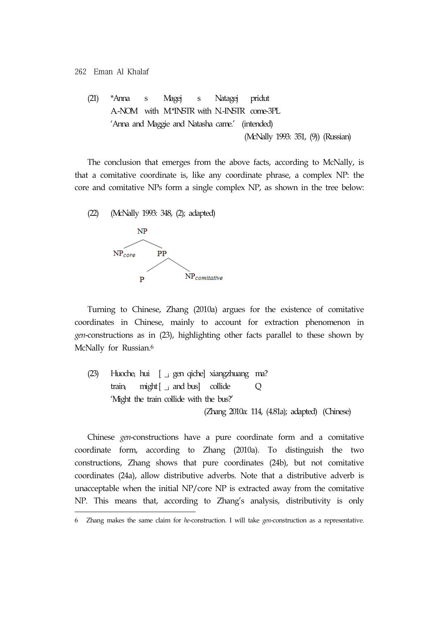262 Eman Al Khalaf

(21) \*Anna s Magej s Natagej pridut A.-NOM with M.\*INSTR with N.-INSTR come-3PL `Anna and Maggie and Natasha came.' (intended) (McNally 1993: 351, (9)) (Russian)

The conclusion that emerges from the above facts, according to McNally, is that a comitative coordinate is, like any coordinate phrase, a complex NP: the core and comitative NPs form a single complex NP, as shown in the tree below:



Turning to Chinese, Zhang (2010a) argues for the existence of comitative coordinates in Chinese, mainly to account for extraction phenomenon in *gen*-constructions as in (23), highlighting other facts parallel to these shown by McNally for Russian.<sup>6</sup>

(23) Huochei hui [ \_i gen qiche] xiangzhuang ma? train<sub>i</sub> might [ $\lrcorner$  and bus] collide Q 'Might the train collide with the bus?' (Zhang 2010a: 114, (4.81a); adapted) (Chinese)

Chinese *gen*-constructions have a pure coordinate form and a comitative coordinate form, according to Zhang (2010a). To distinguish the two constructions, Zhang shows that pure coordinates (24b), but not comitative coordinates (24a), allow distributive adverbs. Note that a distributive adverb is unacceptable when the initial NP/core NP is extracted away from the comitative NP. This means that, according to Zhang's analysis, distributivity is only

<sup>6</sup> Zhang makes the same claim for *he*-construction. I will take *gen*-construction as a representative.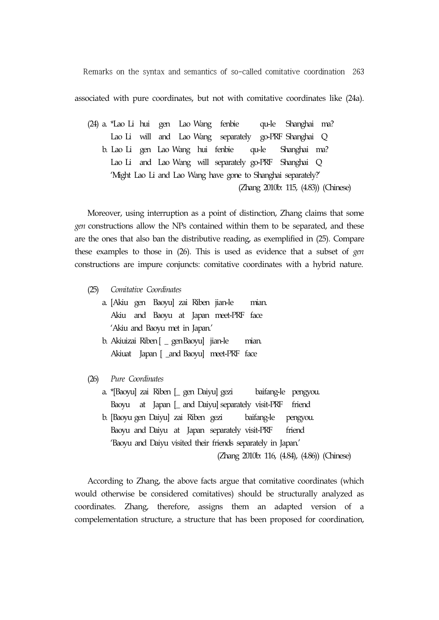associated with pure coordinates, but not with comitative coordinates like (24a).

(24) a. \*Lao Li hui gen Lao Wang fenbie qu-le Shanghai ma? Lao Li will and Lao Wang separately go-PRF Shanghai Q b. Lao Li gen Lao Wang hui fenbie qu-le Shanghai ma? Lao Li and Lao Wang will separately go-PRF Shanghai Q 'Might Lao Li and Lao Wang have gone to Shanghai separately?' (Zhang 2010b: 115, (4.83)) (Chinese)

Moreover, using interruption as a point of distinction, Zhang claims that some *gen* constructions allow the NPs contained within them to be separated, and these are the ones that also ban the distributive reading, as exemplified in (25). Compare these examples to those in (26). This is used as evidence that a subset of *gen*  constructions are impure conjuncts: comitative coordinates with a hybrid nature.

- (25) *Comitative Coordinates*
	- a. [Akiu gen Baoyu] zai Riben jian-le mian. Akiu and Baoyu at Japan meet-PRF face 'Akiu and Baoyu met in Japan.'
	- b. Akiuizai Riben [ \_ genBaoyu] jian-le mian. Akiuat Japan [ \_and Baoyu] meet-PRF face
- (26) *Pure Coordinates*
	- a. \*[Baoyu] zai Riben [\_ gen Daiyu] gezi baifang-le pengyou. Baoyu at Japan [\_ and Daiyu] separately visit-PRF friend b. [Baoyu gen Daiyu] zai Riben gezi baifang-le pengyou. Baoyu and Daiyu at Japan separately visit-PRF friend 'Baoyu and Daiyu visited their friends separately in Japan.' (Zhang 2010b: 116, (4.84), (4.86)) (Chinese)

According to Zhang, the above facts argue that comitative coordinates (which would otherwise be considered comitatives) should be structurally analyzed as coordinates. Zhang, therefore, assigns them an adapted version of a compelementation structure, a structure that has been proposed for coordination,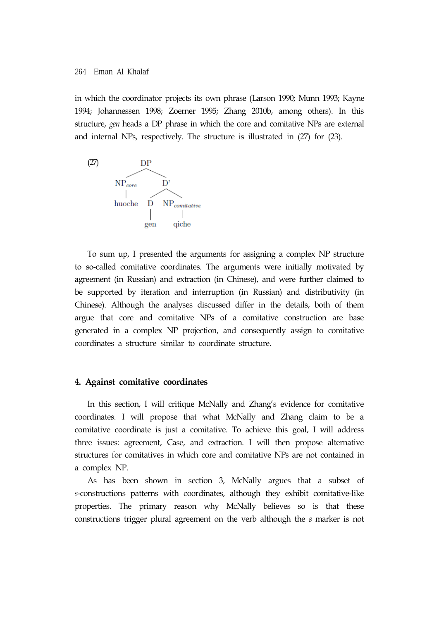in which the coordinator projects its own phrase (Larson 1990; Munn 1993; Kayne 1994; Johannessen 1998; Zoerner 1995; Zhang 2010b, among others). In this structure, *gen* heads a DP phrase in which the core and comitative NPs are external and internal NPs, respectively. The structure is illustrated in (27) for (23).



To sum up, I presented the arguments for assigning a complex NP structure to so-called comitative coordinates. The arguments were initially motivated by agreement (in Russian) and extraction (in Chinese), and were further claimed to be supported by iteration and interruption (in Russian) and distributivity (in Chinese). Although the analyses discussed differ in the details, both of them argue that core and comitative NPs of a comitative construction are base generated in a complex NP projection, and consequently assign to comitative coordinates a structure similar to coordinate structure.

#### **4. Against comitative coordinates**

In this section, I will critique McNally and Zhang's evidence for comitative coordinates. I will propose that what McNally and Zhang claim to be a comitative coordinate is just a comitative. To achieve this goal, I will address three issues: agreement, Case, and extraction. I will then propose alternative structures for comitatives in which core and comitative NPs are not contained in a complex NP.

As has been shown in section 3, McNally argues that a subset of *s*-constructions patterns with coordinates, although they exhibit comitative-like properties. The primary reason why McNally believes so is that these constructions trigger plural agreement on the verb although the *s* marker is not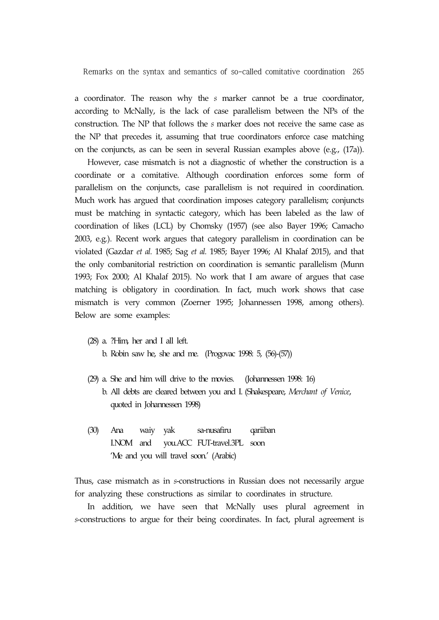a coordinator. The reason why the *s* marker cannot be a true coordinator, according to McNally, is the lack of case parallelism between the NPs of the construction. The NP that follows the *s* marker does not receive the same case as the NP that precedes it, assuming that true coordinators enforce case matching on the conjuncts, as can be seen in several Russian examples above (e.g., (17a)).

However, case mismatch is not a diagnostic of whether the construction is a coordinate or a comitative. Although coordination enforces some form of parallelism on the conjuncts, case parallelism is not required in coordination. Much work has argued that coordination imposes category parallelism; conjuncts must be matching in syntactic category, which has been labeled as the law of coordination of likes (LCL) by Chomsky (1957) (see also Bayer 1996; Camacho 2003, e.g.). Recent work argues that category parallelism in coordination can be violated (Gazdar *et al.* 1985; Sag *et al.* 1985; Bayer 1996; Al Khalaf 2015), and that the only combanitorial restriction on coordination is semantic parallelism (Munn 1993; Fox 2000; Al Khalaf 2015). No work that I am aware of argues that case matching is obligatory in coordination. In fact, much work shows that case mismatch is very common (Zoerner 1995; Johannessen 1998, among others). Below are some examples:

(28) a. ?Him, her and I all left.

b. Robin saw he, she and me. (Progovac 1998: 5, (56)-(57))

- (29) a. She and him will drive to the movies. (Johannessen 1998: 16) b. All debts are cleared between you and I. (Shakespeare, *Merchant of Venice*, quoted in Johannessen 1998)
- (30) Ana waiy yak sa-nusafiru qariiban I.NOM and you.ACC FUT-travel.3PL soon 'Me and you will travel soon.' (Arabic)

Thus, case mismatch as in *s*-constructions in Russian does not necessarily argue for analyzing these constructions as similar to coordinates in structure.

In addition, we have seen that McNally uses plural agreement in *s*-constructions to argue for their being coordinates. In fact, plural agreement is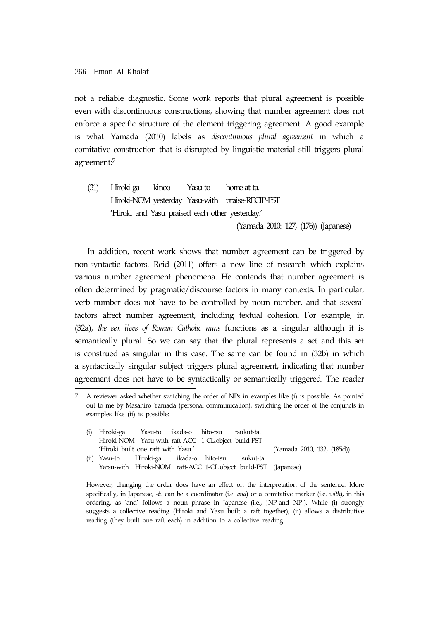not a reliable diagnostic. Some work reports that plural agreement is possible even with discontinuous constructions, showing that number agreement does not enforce a specific structure of the element triggering agreement. A good example is what Yamada (2010) labels as *discontinuous plural agreement* in which a comitative construction that is disrupted by linguistic material still triggers plural agreement:7

(31) Hiroki-ga kinoo Yasu-to home-at-ta. Hiroki-NOM yesterday Yasu-with praise-RECIP-PST 'Hiroki and Yasu praised each other yesterday.'

(Yamada 2010: 127, (176)) (Japanese)

In addition, recent work shows that number agreement can be triggered by non-syntactic factors. Reid (2011) offers a new line of research which explains various number agreement phenomena. He contends that number agreement is often determined by pragmatic/discourse factors in many contexts. In particular, verb number does not have to be controlled by noun number, and that several factors affect number agreement, including textual cohesion. For example, in (32a), *the sex lives of Roman Catholic nuns* functions as a singular although it is semantically plural. So we can say that the plural represents a set and this set is construed as singular in this case. The same can be found in (32b) in which a syntactically singular subject triggers plural agreement, indicating that number agreement does not have to be syntactically or semantically triggered. The reader

<sup>7</sup> A reviewer asked whether switching the order of NPs in examples like (i) is possible. As pointed out to me by Masahiro Yamada (personal communication), switching the order of the conjuncts in examples like (ii) is possible:

|  | (i) Hiroki-ga Yasu-to ikada-o hito-tsu tsukut-ta.  |                                                     |                            |                                                                 |  |  |
|--|----------------------------------------------------|-----------------------------------------------------|----------------------------|-----------------------------------------------------------------|--|--|
|  |                                                    | Hiroki-NOM Yasu-with raft-ACC 1-CL object build-PST |                            |                                                                 |  |  |
|  | 'Hiroki built one raft with Yasu.'                 |                                                     | (Yamada 2010, 132, (185d)) |                                                                 |  |  |
|  | (ii) Yasu-to Hiroki-ga ikada-o hito-tsu tsukut-ta. |                                                     |                            |                                                                 |  |  |
|  |                                                    |                                                     |                            | Yatsu-with Hiroki-NOM raft-ACC 1-CL.object build-PST (Japanese) |  |  |

However, changing the order does have an effect on the interpretation of the sentence. More specifically, in Japanese, *-to* can be a coordinator (i.e. *and*) or a comitative marker (i.e. *with*), in this ordering, as 'and' follows a noun phrase in Japanese (i.e., [NP-and NP]). While (i) strongly suggests a collective reading (Hiroki and Yasu built a raft together), (ii) allows a distributive reading (they built one raft each) in addition to a collective reading.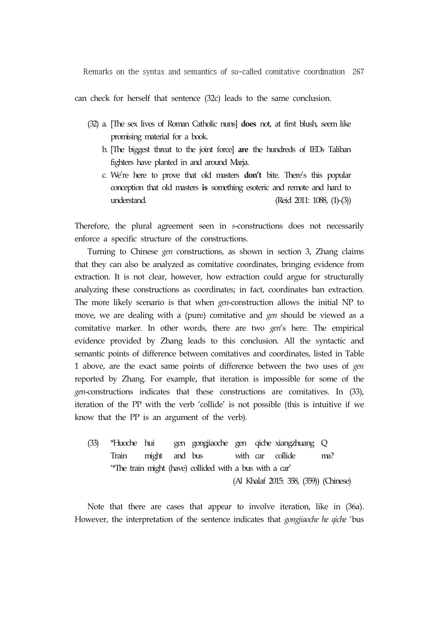can check for herself that sentence (32c) leads to the same conclusion.

- (32) a. [The sex lives of Roman Catholic nuns] **does** not, at first blush, seem like promising material for a book.
	- b. [The biggest threat to the joint force] **are** the hundreds of IEDs Taliban fighters have planted in and around Marja.
	- c. We're here to prove that old masters **don't** bite. There's this popular conception that old masters **is** something esoteric and remote and hard to understand. (Reid 2011: 1088, (1)-(3))

Therefore, the plural agreement seen in *s*-constructions does not necessarily enforce a specific structure of the constructions.

Turning to Chinese *gen* constructions, as shown in section 3, Zhang claims that they can also be analyzed as comitative coordinates, bringing evidence from extraction. It is not clear, however, how extraction could argue for structurally analyzing these constructions as coordinates; in fact, coordinates ban extraction. The more likely scenario is that when *gen*-construction allows the initial NP to move, we are dealing with a (pure) comitative and *gen* should be viewed as a comitative marker. In other words, there are two *gen*'s here. The empirical evidence provided by Zhang leads to this conclusion. All the syntactic and semantic points of difference between comitatives and coordinates, listed in Table 1 above, are the exact same points of difference between the two uses of *gen*  reported by Zhang. For example, that iteration is impossible for some of the *gen*-constructions indicates that these constructions are comitatives. In (33), iteration of the PP with the verb 'collide' is not possible (this is intuitive if we know that the PP is an argument of the verb).

(33) \*Huoche hui gen gongjiaoche gen qiche xiangzhuang Q Train might and bus with car collide ma? '\*The train might (have) collided with a bus with a car' (Al Khalaf 2015: 358, (359)) (Chinese)

Note that there are cases that appear to involve iteration, like in (36a). However, the interpretation of the sentence indicates that *gongjiaoche he qiche* 'bus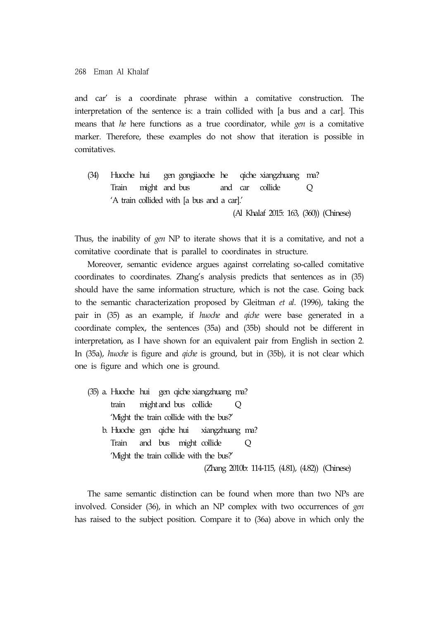and car' is a coordinate phrase within a comitative construction. The interpretation of the sentence is: a train collided with [a bus and a car]. This means that *he* here functions as a true coordinator, while *gen* is a comitative marker. Therefore, these examples do not show that iteration is possible in comitatives.

(34) Huoche hui gen gongjiaoche he qiche xiangzhuang ma? Train might and bus and car collide Q 'A train collided with [a bus and a car].' (Al Khalaf 2015: 163, (360)) (Chinese)

Thus, the inability of *gen* NP to iterate shows that it is a comitative, and not a comitative coordinate that is parallel to coordinates in structure.

Moreover, semantic evidence argues against correlating so-called comitative coordinates to coordinates. Zhang's analysis predicts that sentences as in (35) should have the same information structure, which is not the case. Going back to the semantic characterization proposed by Gleitman *et al*. (1996), taking the pair in (35) as an example, if *huoche* and *qiche* were base generated in a coordinate complex, the sentences (35a) and (35b) should not be different in interpretation, as I have shown for an equivalent pair from English in section 2. In (35a), *huoche* is figure and *qiche* is ground, but in (35b), it is not clear which one is figure and which one is ground.

(35) a. Huoche hui gen qiche xiangzhuang ma? train might and bus collide Q 'Might the train collide with the bus?' b. Huoche gen qiche hui xiangzhuang ma? Train and bus might collide Q 'Might the train collide with the bus?' (Zhang 2010b: 114-115, (4.81), (4.82)) (Chinese)

The same semantic distinction can be found when more than two NPs are involved. Consider (36), in which an NP complex with two occurrences of *gen*  has raised to the subject position. Compare it to (36a) above in which only the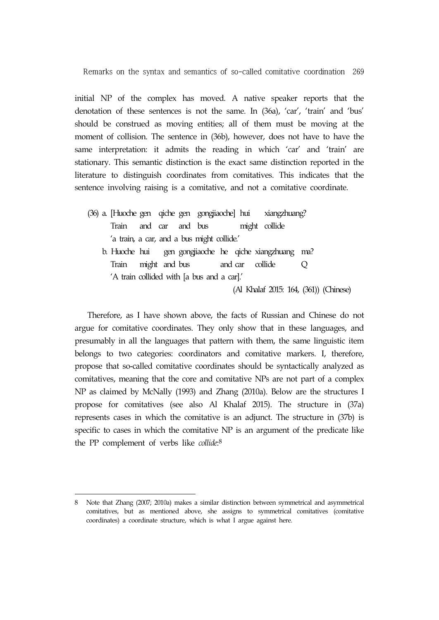initial NP of the complex has moved. A native speaker reports that the denotation of these sentences is not the same. In (36a), 'car', 'train' and 'bus' should be construed as moving entities; all of them must be moving at the moment of collision. The sentence in (36b), however, does not have to have the same interpretation: it admits the reading in which 'car' and 'train' are stationary. This semantic distinction is the exact same distinction reported in the literature to distinguish coordinates from comitatives. This indicates that the sentence involving raising is a comitative, and not a comitative coordinate.

(36) a. [Huoche gen qiche gen gongjiaoche] hui xiangzhuang? Train and car and bus might collide 'a train, a car, and a bus might collide.' b. Huoche hui gen gongjiaoche he qiche xiangzhuang ma? Train might and bus and car collide Q 'A train collided with [a bus and a car].' (Al Khalaf 2015: 164, (361)) (Chinese)

Therefore, as I have shown above, the facts of Russian and Chinese do not argue for comitative coordinates. They only show that in these languages, and presumably in all the languages that pattern with them, the same linguistic item belongs to two categories: coordinators and comitative markers. I, therefore, propose that so-called comitative coordinates should be syntactically analyzed as comitatives, meaning that the core and comitative NPs are not part of a complex NP as claimed by McNally (1993) and Zhang (2010a). Below are the structures I propose for comitatives (see also Al Khalaf 2015). The structure in (37a) represents cases in which the comitative is an adjunct. The structure in (37b) is specific to cases in which the comitative NP is an argument of the predicate like the PP complement of verbs like *collide*:8

<sup>8</sup> Note that Zhang (2007; 2010a) makes a similar distinction between symmetrical and asymmetrical comitatives, but as mentioned above, she assigns to symmetrical comitatives (comitative coordinates) a coordinate structure, which is what I argue against here.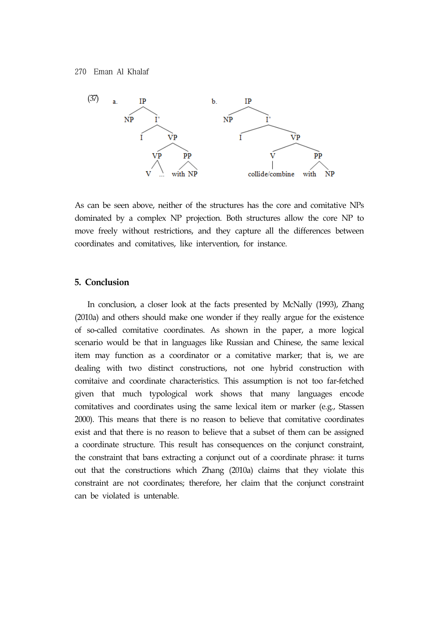

As can be seen above, neither of the structures has the core and comitative NPs dominated by a complex NP projection. Both structures allow the core NP to move freely without restrictions, and they capture all the differences between coordinates and comitatives, like intervention, for instance.

## **5. Conclusion**

In conclusion, a closer look at the facts presented by McNally (1993), Zhang (2010a) and others should make one wonder if they really argue for the existence of so-called comitative coordinates. As shown in the paper, a more logical scenario would be that in languages like Russian and Chinese, the same lexical item may function as a coordinator or a comitative marker; that is, we are dealing with two distinct constructions, not one hybrid construction with comitaive and coordinate characteristics. This assumption is not too far-fetched given that much typological work shows that many languages encode comitatives and coordinates using the same lexical item or marker (e.g., Stassen 2000). This means that there is no reason to believe that comitative coordinates exist and that there is no reason to believe that a subset of them can be assigned a coordinate structure. This result has consequences on the conjunct constraint, the constraint that bans extracting a conjunct out of a coordinate phrase: it turns out that the constructions which Zhang (2010a) claims that they violate this constraint are not coordinates; therefore, her claim that the conjunct constraint can be violated is untenable.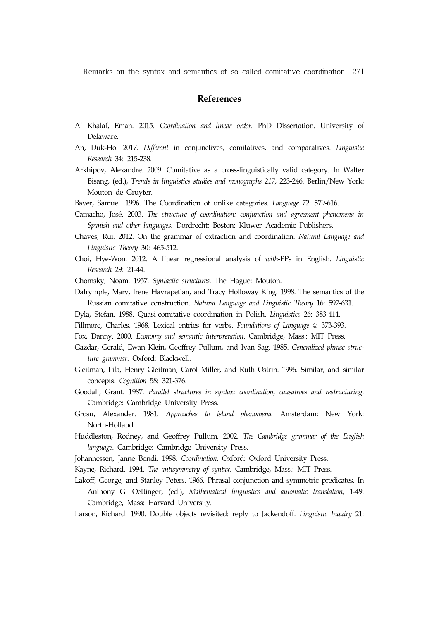## **References**

- Al Khalaf, Eman. 2015. *Coordination and linear order*. PhD Dissertation. University of Delaware.
- An, Duk-Ho. 2017. *Different* in conjunctives, comitatives, and comparatives. *Linguistic Research* 34: 215-238.
- Arkhipov, Alexandre. 2009. Comitative as a cross-linguistically valid category. In Walter Bisang, (ed.), *Trends in linguistics studies and monographs 217*, 223-246. Berlin/New York: Mouton de Gruyter.
- Bayer, Samuel. 1996. The Coordination of unlike categories. *Language* 72: 579-616.
- Camacho, José. 2003. *The structure of coordination: conjunction and agreement phenomena in Spanish and other languages*. Dordrecht; Boston: Kluwer Academic Publishers.
- Chaves, Rui. 2012. On the grammar of extraction and coordination. *Natural Language and Linguistic Theory* 30: 465-512.
- Choi, Hye-Won. 2012. A linear regressional analysis of *with*-PPs in English. *Linguistic Research* 29: 21-44.
- Chomsky, Noam. 1957. *Syntactic structures*. The Hague: Mouton.
- Dalrymple, Mary, Irene Hayrapetian, and Tracy Holloway King. 1998. The semantics of the Russian comitative construction. *Natural Language and Linguistic Theory* 16: 597-631.
- Dyla, Stefan. 1988. Quasi-comitative coordination in Polish. *Linguistics* 26: 383-414.
- Fillmore, Charles. 1968. Lexical entries for verbs. *Foundations of Language* 4: 373-393.
- Fox, Danny. 2000. *Economy and semantic interpretation*. Cambridge, Mass.: MIT Press.
- Gazdar, Gerald, Ewan Klein, Geoffrey Pullum, and Ivan Sag. 1985. *Generalized phrase structure grammar*. Oxford: Blackwell.
- Gleitman, Lila, Henry Gleitman, Carol Miller, and Ruth Ostrin. 1996. Similar, and similar concepts. *Cognition* 58: 321-376.
- Goodall, Grant. 1987. *Parallel structures in syntax: coordination, causatives and restructuring*. Cambridge: Cambridge University Press.
- Grosu, Alexander. 1981. *Approaches to island phenomena.* Amsterdam; New York: North-Holland.
- Huddleston, Rodney, and Geoffrey Pullum. 2002. *The Cambridge grammar of the English language*. Cambridge: Cambridge University Press.
- Johannessen, Janne Bondi. 1998. *Coordination*. Oxford: Oxford University Press.
- Kayne, Richard. 1994. *The antisymmetry of syntax*. Cambridge, Mass.: MIT Press.
- Lakoff, George, and Stanley Peters. 1966. Phrasal conjunction and symmetric predicates. In Anthony G. Oettinger, (ed.), *Mathematical linguistics and automatic translation*, 1-49. Cambridge, Mass: Harvard University.
- Larson, Richard. 1990. Double objects revisited: reply to Jackendoff. *Linguistic Inquiry* 21: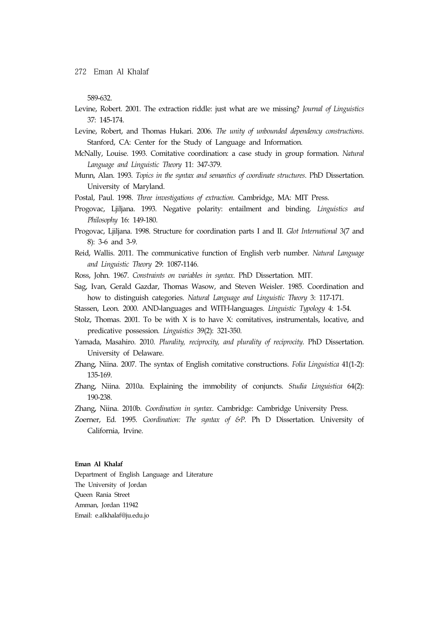589-632.

- Levine, Robert. 2001. The extraction riddle: just what are we missing? *Journal of Linguistics*  37: 145-174.
- Levine, Robert, and Thomas Hukari. 2006. *The unity of unbounded dependency constructions*. Stanford, CA: Center for the Study of Language and Information.
- McNally, Louise. 1993. Comitative coordination: a case study in group formation. *Natural Language and Linguistic Theory* 11: 347-379.
- Munn, Alan. 1993. *Topics in the syntax and semantics of coordinate structures*. PhD Dissertation. University of Maryland.
- Postal, Paul. 1998. *Three investigations of extraction*. Cambridge, MA: MIT Press.
- Progovac, Ljiljana. 1993. Negative polarity: entailment and binding. *Linguistics and Philosophy* 16: 149-180.
- Progovac, Ljiljana. 1998. Structure for coordination parts I and II. *Glot International* 3(7 and 8): 3-6 and 3-9.
- Reid, Wallis. 2011. The communicative function of English verb number. *Natural Language and Linguistic Theory* 29: 1087-1146.
- Ross, John. 1967. *Constraints on variables in syntax*. PhD Dissertation. MIT.
- Sag, Ivan, Gerald Gazdar, Thomas Wasow, and Steven Weisler. 1985. Coordination and how to distinguish categories. *Natural Language and Linguistic Theory* 3: 117-171.
- Stassen, Leon. 2000. AND-languages and WITH-languages. *Linguistic Typology* 4: 1-54.
- Stolz, Thomas. 2001. To be with  $X$  is to have  $X$ : comitatives, instrumentals, locative, and predicative possession. *Linguistics* 39(2): 321-350.
- Yamada, Masahiro. 2010. *Plurality, reciprocity, and plurality of reciprocity*. PhD Dissertation. University of Delaware.
- Zhang, Niina. 2007. The syntax of English comitative constructions. *Folia Linguistica* 41(1-2): 135-169.
- Zhang, Niina. 2010a. Explaining the immobility of conjuncts. *Studia Linguistica* 64(2): 190-238.
- Zhang, Niina. 2010b. *Coordination in syntax*. Cambridge: Cambridge University Press.
- Zoerner, Ed. 1995. *Coordination: The syntax of &P*. Ph D Dissertation. University of California, Irvine.

#### **Eman Al Khalaf**

Department of English Language and Literature The University of Jordan Queen Rania Street Amman, Jordan 11942 Email: e.alkhalaf@ju.edu.jo